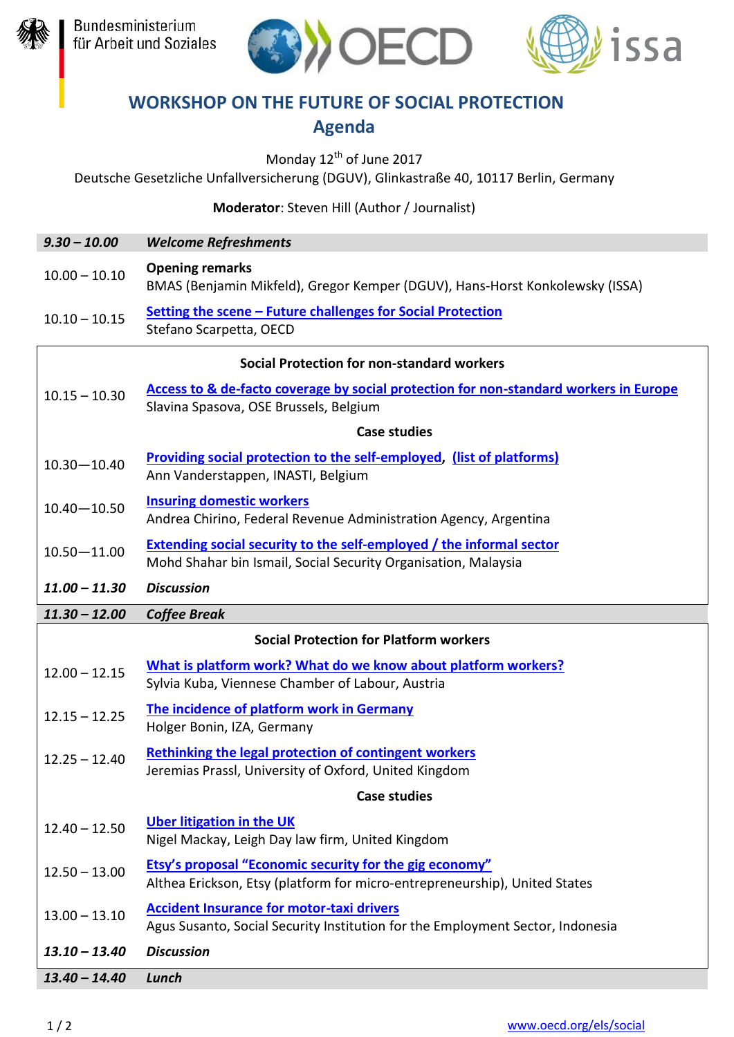





## **WORKSHOP ON THE FUTURE OF SOCIAL PROTECTION Agenda**

Monday 12<sup>th</sup> of June 2017

Deutsche Gesetzliche Unfallversicherung (DGUV), Glinkastraße 40, 10117 Berlin, Germany

**Moderator**: Steven Hill (Author / Journalist)

| $9.30 - 10.00$                                    | <b>Welcome Refreshments</b>                                                                                                                   |  |
|---------------------------------------------------|-----------------------------------------------------------------------------------------------------------------------------------------------|--|
| $10.00 - 10.10$                                   | <b>Opening remarks</b><br>BMAS (Benjamin Mikfeld), Gregor Kemper (DGUV), Hans-Horst Konkolewsky (ISSA)                                        |  |
| $10.10 - 10.15$                                   | Setting the scene - Future challenges for Social Protection<br>Stefano Scarpetta, OECD                                                        |  |
| <b>Social Protection for non-standard workers</b> |                                                                                                                                               |  |
| $10.15 - 10.30$                                   | Access to & de-facto coverage by social protection for non-standard workers in Europe<br>Slavina Spasova, OSE Brussels, Belgium               |  |
|                                                   | <b>Case studies</b>                                                                                                                           |  |
| $10.30 - 10.40$                                   | <b>Providing social protection to the self-employed, (list of platforms)</b><br>Ann Vanderstappen, INASTI, Belgium                            |  |
| $10.40 - 10.50$                                   | <b>Insuring domestic workers</b><br>Andrea Chirino, Federal Revenue Administration Agency, Argentina                                          |  |
| $10.50 - 11.00$                                   | <b>Extending social security to the self-employed / the informal sector</b><br>Mohd Shahar bin Ismail, Social Security Organisation, Malaysia |  |
| $11.00 - 11.30$                                   | <b>Discussion</b>                                                                                                                             |  |
| $11.30 - 12.00$                                   | <b>Coffee Break</b>                                                                                                                           |  |
| <b>Social Protection for Platform workers</b>     |                                                                                                                                               |  |
| $12.00 - 12.15$                                   | What is platform work? What do we know about platform workers?<br>Sylvia Kuba, Viennese Chamber of Labour, Austria                            |  |
| $12.15 - 12.25$                                   | The incidence of platform work in Germany<br>Holger Bonin, IZA, Germany                                                                       |  |
| $12.25 - 12.40$                                   | <b>Rethinking the legal protection of contingent workers</b><br>Jeremias Prassl, University of Oxford, United Kingdom                         |  |
| <b>Case studies</b>                               |                                                                                                                                               |  |
| $12.40 - 12.50$                                   | <b>Uber litigation in the UK</b><br>Nigel Mackay, Leigh Day law firm, United Kingdom                                                          |  |
| $12.50 - 13.00$                                   | <b>Etsy's proposal "Economic security for the gig economy"</b><br>Althea Erickson, Etsy (platform for micro-entrepreneurship), United States  |  |
| $13.00 - 13.10$                                   | <b>Accident Insurance for motor-taxi drivers</b><br>Agus Susanto, Social Security Institution for the Employment Sector, Indonesia            |  |
| $13.10 - 13.40$                                   | <b>Discussion</b>                                                                                                                             |  |
| $13.40 - 14.40$                                   | Lunch                                                                                                                                         |  |